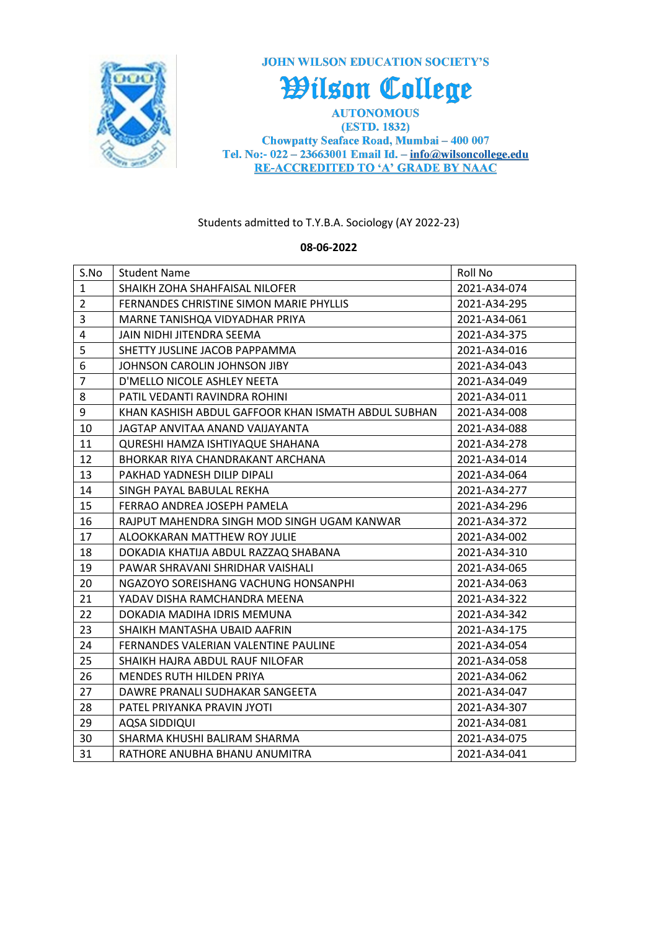

**JOHN WILSON EDUCATION SOCIETY'S** 

## Wilson College

**AUTONOMOUS** (ESTD. 1832) Chowpatty Seaface Road, Mumbai - 400 007 Tel. No:- 022 - 23663001 Email Id. -  $info@$ wilsoncollege.edu **RE-ACCREDITED TO 'A' GRADE BY NAAC** 

## Students admitted to T.Y.B.A. Sociology (AY 2022-23)

## **08-06-2022**

| S.No           | <b>Student Name</b>                                 | Roll No      |
|----------------|-----------------------------------------------------|--------------|
| $\mathbf{1}$   | SHAIKH ZOHA SHAHFAISAL NILOFER                      | 2021-A34-074 |
| $\overline{2}$ | FERNANDES CHRISTINE SIMON MARIE PHYLLIS             | 2021-A34-295 |
| 3              | MARNE TANISHQA VIDYADHAR PRIYA                      | 2021-A34-061 |
| 4              | JAIN NIDHI JITENDRA SEEMA                           | 2021-A34-375 |
| 5              | SHETTY JUSLINE JACOB PAPPAMMA                       | 2021-A34-016 |
| 6              | JOHNSON CAROLIN JOHNSON JIBY                        | 2021-A34-043 |
| $\overline{7}$ | D'MELLO NICOLE ASHLEY NEETA                         | 2021-A34-049 |
| 8              | PATIL VEDANTI RAVINDRA ROHINI                       | 2021-A34-011 |
| 9              | KHAN KASHISH ABDUL GAFFOOR KHAN ISMATH ABDUL SUBHAN | 2021-A34-008 |
| 10             | JAGTAP ANVITAA ANAND VAIJAYANTA                     | 2021-A34-088 |
| 11             | QURESHI HAMZA ISHTIYAQUE SHAHANA                    | 2021-A34-278 |
| 12             | BHORKAR RIYA CHANDRAKANT ARCHANA                    | 2021-A34-014 |
| 13             | PAKHAD YADNESH DILIP DIPALI                         | 2021-A34-064 |
| 14             | SINGH PAYAL BABULAL REKHA                           | 2021-A34-277 |
| 15             | FERRAO ANDREA JOSEPH PAMELA                         | 2021-A34-296 |
| 16             | RAJPUT MAHENDRA SINGH MOD SINGH UGAM KANWAR         | 2021-A34-372 |
| 17             | ALOOKKARAN MATTHEW ROY JULIE                        | 2021-A34-002 |
| 18             | DOKADIA KHATIJA ABDUL RAZZAQ SHABANA                | 2021-A34-310 |
| 19             | PAWAR SHRAVANI SHRIDHAR VAISHALI                    | 2021-A34-065 |
| 20             | NGAZOYO SOREISHANG VACHUNG HONSANPHI                | 2021-A34-063 |
| 21             | YADAV DISHA RAMCHANDRA MEENA                        | 2021-A34-322 |
| 22             | DOKADIA MADIHA IDRIS MEMUNA                         | 2021-A34-342 |
| 23             | SHAIKH MANTASHA UBAID AAFRIN                        | 2021-A34-175 |
| 24             | FERNANDES VALERIAN VALENTINE PAULINE                | 2021-A34-054 |
| 25             | SHAIKH HAJRA ABDUL RAUF NILOFAR                     | 2021-A34-058 |
| 26             | <b>MENDES RUTH HILDEN PRIYA</b>                     | 2021-A34-062 |
| 27             | DAWRE PRANALI SUDHAKAR SANGEETA                     | 2021-A34-047 |
| 28             | PATEL PRIYANKA PRAVIN JYOTI                         | 2021-A34-307 |
| 29             | AQSA SIDDIQUI                                       | 2021-A34-081 |
| 30             | SHARMA KHUSHI BALIRAM SHARMA                        | 2021-A34-075 |
| 31             | RATHORE ANUBHA BHANU ANUMITRA                       | 2021-A34-041 |